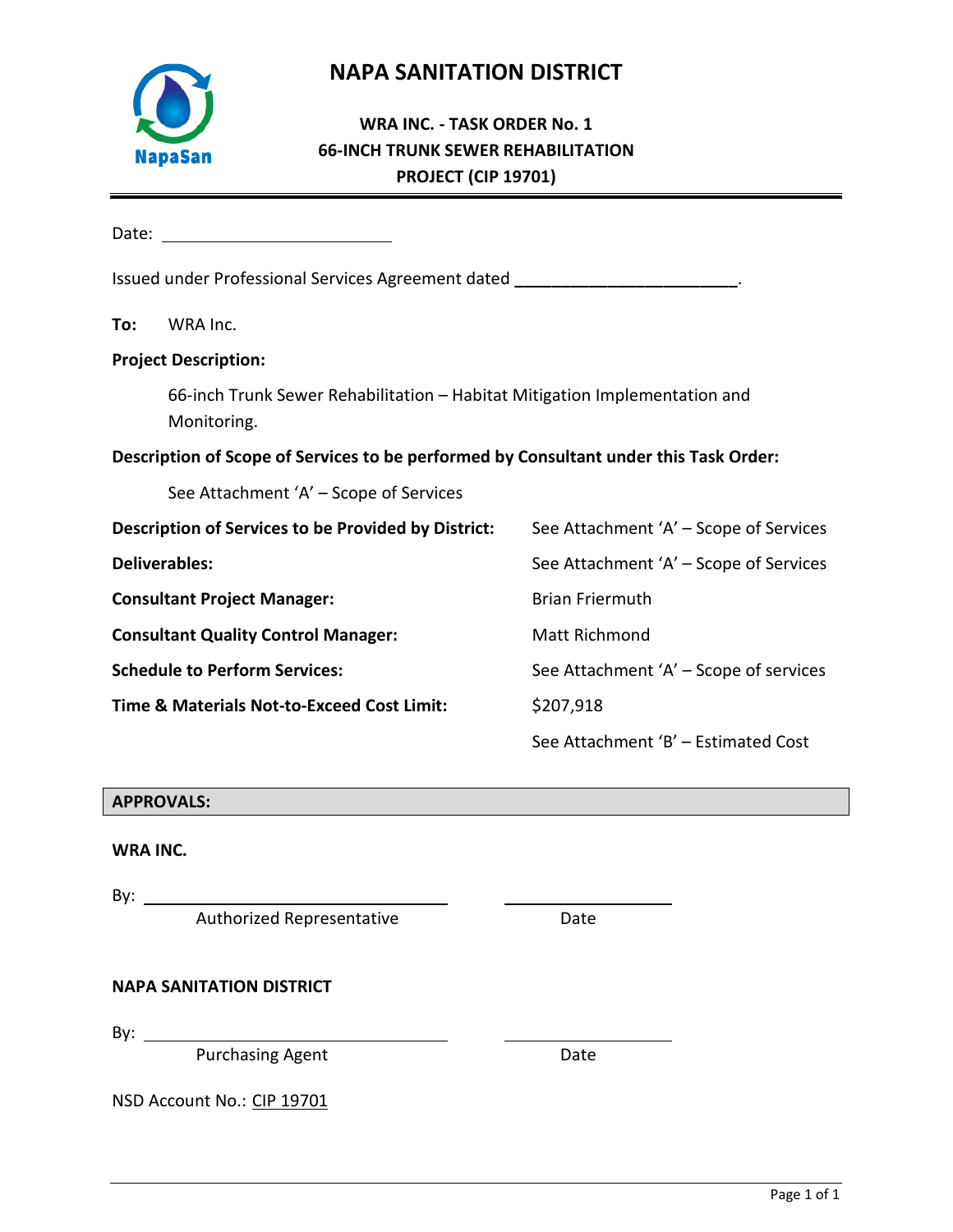

# **NAPA SANITATION DISTRICT**

# **WRA INC. - TASK ORDER No. 1 66-INCH TRUNK SEWER REHABILITATION PROJECT (CIP 19701)**

|                                                       | Issued under Professional Services Agreement dated _____________________________          |                                        |
|-------------------------------------------------------|-------------------------------------------------------------------------------------------|----------------------------------------|
| To:                                                   | WRA Inc.                                                                                  |                                        |
|                                                       | <b>Project Description:</b>                                                               |                                        |
|                                                       | 66-inch Trunk Sewer Rehabilitation - Habitat Mitigation Implementation and<br>Monitoring. |                                        |
|                                                       | Description of Scope of Services to be performed by Consultant under this Task Order:     |                                        |
|                                                       | See Attachment 'A' - Scope of Services                                                    |                                        |
|                                                       | Description of Services to be Provided by District:                                       | See Attachment 'A' - Scope of Services |
| <b>Deliverables:</b>                                  |                                                                                           | See Attachment 'A' - Scope of Services |
| <b>Consultant Project Manager:</b>                    |                                                                                           | <b>Brian Friermuth</b>                 |
|                                                       | <b>Consultant Quality Control Manager:</b>                                                | Matt Richmond                          |
|                                                       | <b>Schedule to Perform Services:</b>                                                      | See Attachment 'A' - Scope of services |
| <b>Time &amp; Materials Not-to-Exceed Cost Limit:</b> |                                                                                           | \$207,918                              |
|                                                       |                                                                                           | See Attachment 'B' - Estimated Cost    |

# **APPROVALS:**

#### **WRA INC.**

By:

Authorized Representative **Example 2018** Date

# **NAPA SANITATION DISTRICT**

By:  $\_\_\_\_\_\_\_\_\_\_\_\_\_\_\_\_\_\_\_\_\_\_\_\_\_\_\_\_\_\_\_\_\_\_$ 

Purchasing Agent Date Date

NSD Account No.: CIP 19701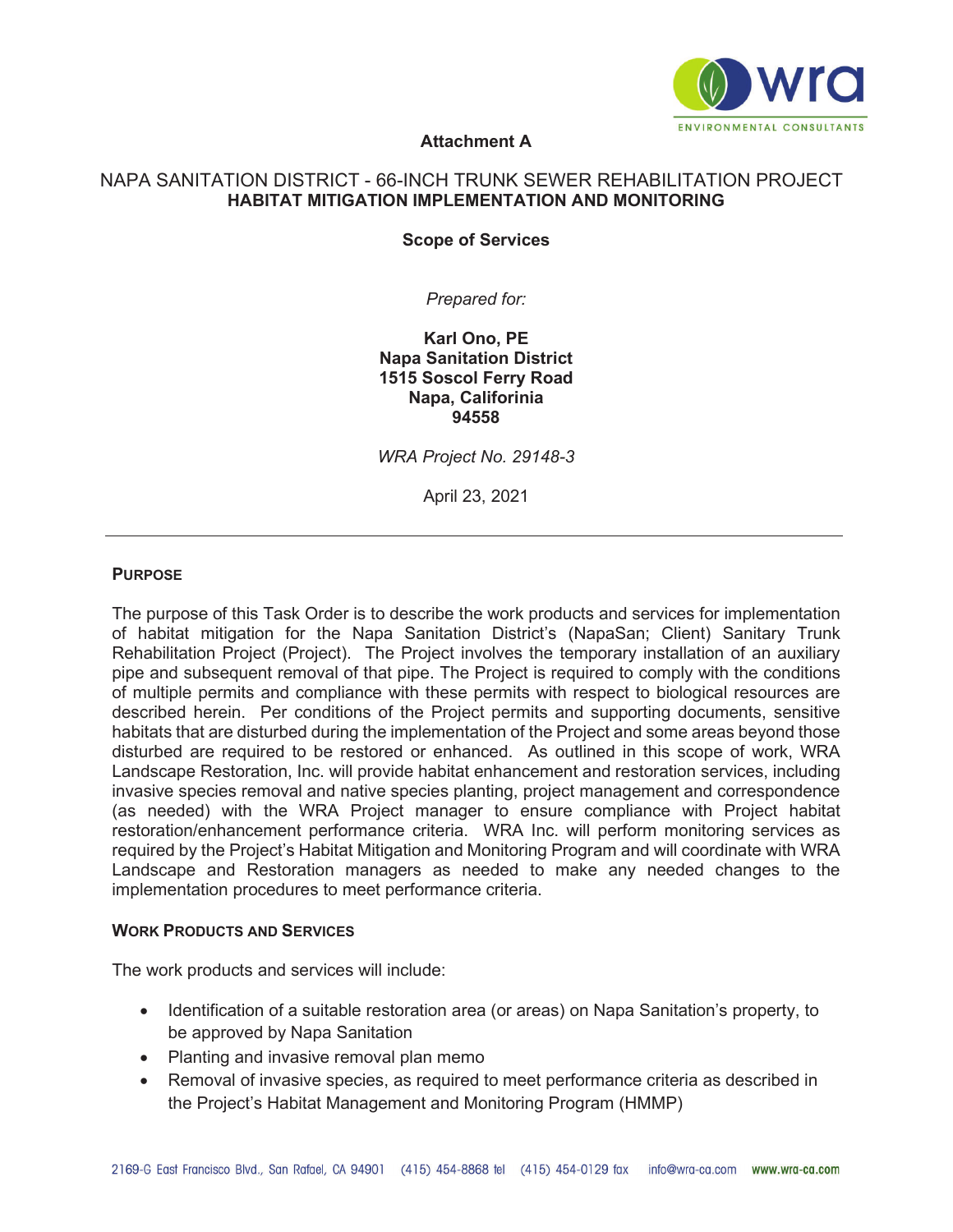

# **Attachment A**

#### **NAPA SANITARY TRUNK REHABILITATON PROJECT**  NAPA SANITATION DISTRICT - 66-INCH TRUNK SEWER REHABILITATION PROJECT**HABITAT MITIGATION IMPLEMENTATION AND MONITORING**

**Scope of Services** 

*Prepared for:* 

**Karl Ono, PE Napa Sanitation District 1515 Soscol Ferry Road Napa, Califorinia 94558** 

*WRA Project No. 29148-3* 

April 23, 2021

#### **PURPOSE**

The purpose of this Task Order is to describe the work products and services for implementation of habitat mitigation for the Napa Sanitation District's (NapaSan; Client) Sanitary Trunk Rehabilitation Project (Project). The Project involves the temporary installation of an auxiliary pipe and subsequent removal of that pipe. The Project is required to comply with the conditions of multiple permits and compliance with these permits with respect to biological resources are described herein. Per conditions of the Project permits and supporting documents, sensitive habitats that are disturbed during the implementation of the Project and some areas beyond those disturbed are required to be restored or enhanced. As outlined in this scope of work, WRA Landscape Restoration, Inc. will provide habitat enhancement and restoration services, including invasive species removal and native species planting, project management and correspondence (as needed) with the WRA Project manager to ensure compliance with Project habitat restoration/enhancement performance criteria. WRA Inc. will perform monitoring services as required by the Project's Habitat Mitigation and Monitoring Program and will coordinate with WRA Landscape and Restoration managers as needed to make any needed changes to the implementation procedures to meet performance criteria.

#### **WORK PRODUCTS AND SERVICES**

The work products and services will include:

- Identification of a suitable restoration area (or areas) on Napa Sanitation's property, to be approved by Napa Sanitation
- Planting and invasive removal plan memo
- Removal of invasive species, as required to meet performance criteria as described in the Project's Habitat Management and Monitoring Program (HMMP)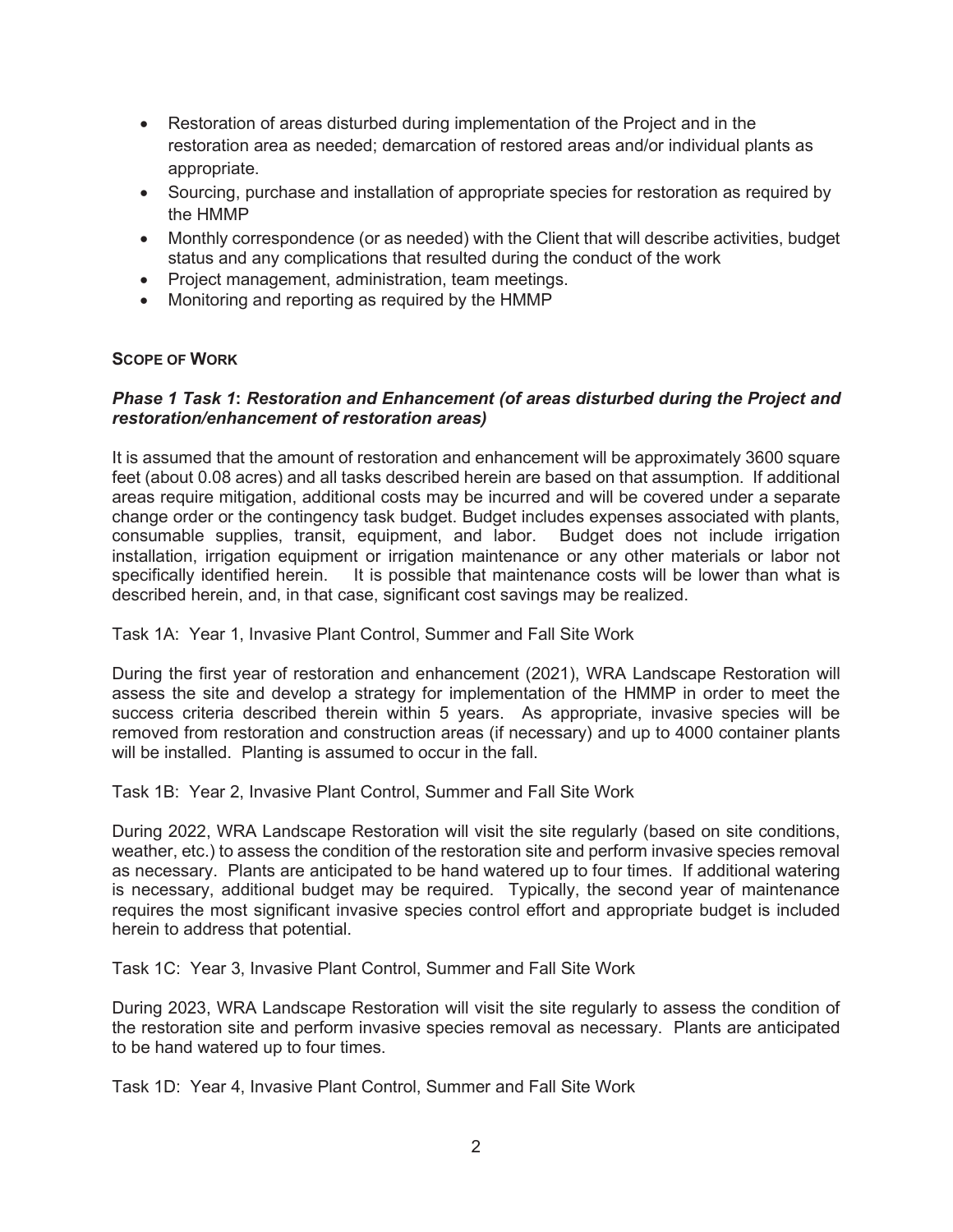- Restoration of areas disturbed during implementation of the Project and in the restoration area as needed; demarcation of restored areas and/or individual plants as appropriate.
- Sourcing, purchase and installation of appropriate species for restoration as required by the HMMP
- Monthly correspondence (or as needed) with the Client that will describe activities, budget status and any complications that resulted during the conduct of the work
- Project management, administration, team meetings.
- Monitoring and reporting as required by the HMMP

# **SCOPE OF WORK**

#### *Phase 1 Task 1***:** *Restoration and Enhancement (of areas disturbed during the Project and restoration/enhancement of restoration areas)*

It is assumed that the amount of restoration and enhancement will be approximately 3600 square feet (about 0.08 acres) and all tasks described herein are based on that assumption. If additional areas require mitigation, additional costs may be incurred and will be covered under a separate change order or the contingency task budget. Budget includes expenses associated with plants, consumable supplies, transit, equipment, and labor. Budget does not include irrigation installation, irrigation equipment or irrigation maintenance or any other materials or labor not specifically identified herein. It is possible that maintenance costs will be lower than what is described herein, and, in that case, significant cost savings may be realized.

Task 1A: Year 1, Invasive Plant Control, Summer and Fall Site Work

During the first year of restoration and enhancement (2021), WRA Landscape Restoration will assess the site and develop a strategy for implementation of the HMMP in order to meet the success criteria described therein within 5 years. As appropriate, invasive species will be removed from restoration and construction areas (if necessary) and up to 4000 container plants will be installed. Planting is assumed to occur in the fall.

Task 1B: Year 2, Invasive Plant Control, Summer and Fall Site Work

During 2022, WRA Landscape Restoration will visit the site regularly (based on site conditions, weather, etc.) to assess the condition of the restoration site and perform invasive species removal as necessary. Plants are anticipated to be hand watered up to four times. If additional watering is necessary, additional budget may be required. Typically, the second year of maintenance requires the most significant invasive species control effort and appropriate budget is included herein to address that potential.

Task 1C: Year 3, Invasive Plant Control, Summer and Fall Site Work

During 2023, WRA Landscape Restoration will visit the site regularly to assess the condition of the restoration site and perform invasive species removal as necessary. Plants are anticipated to be hand watered up to four times.

Task 1D: Year 4, Invasive Plant Control, Summer and Fall Site Work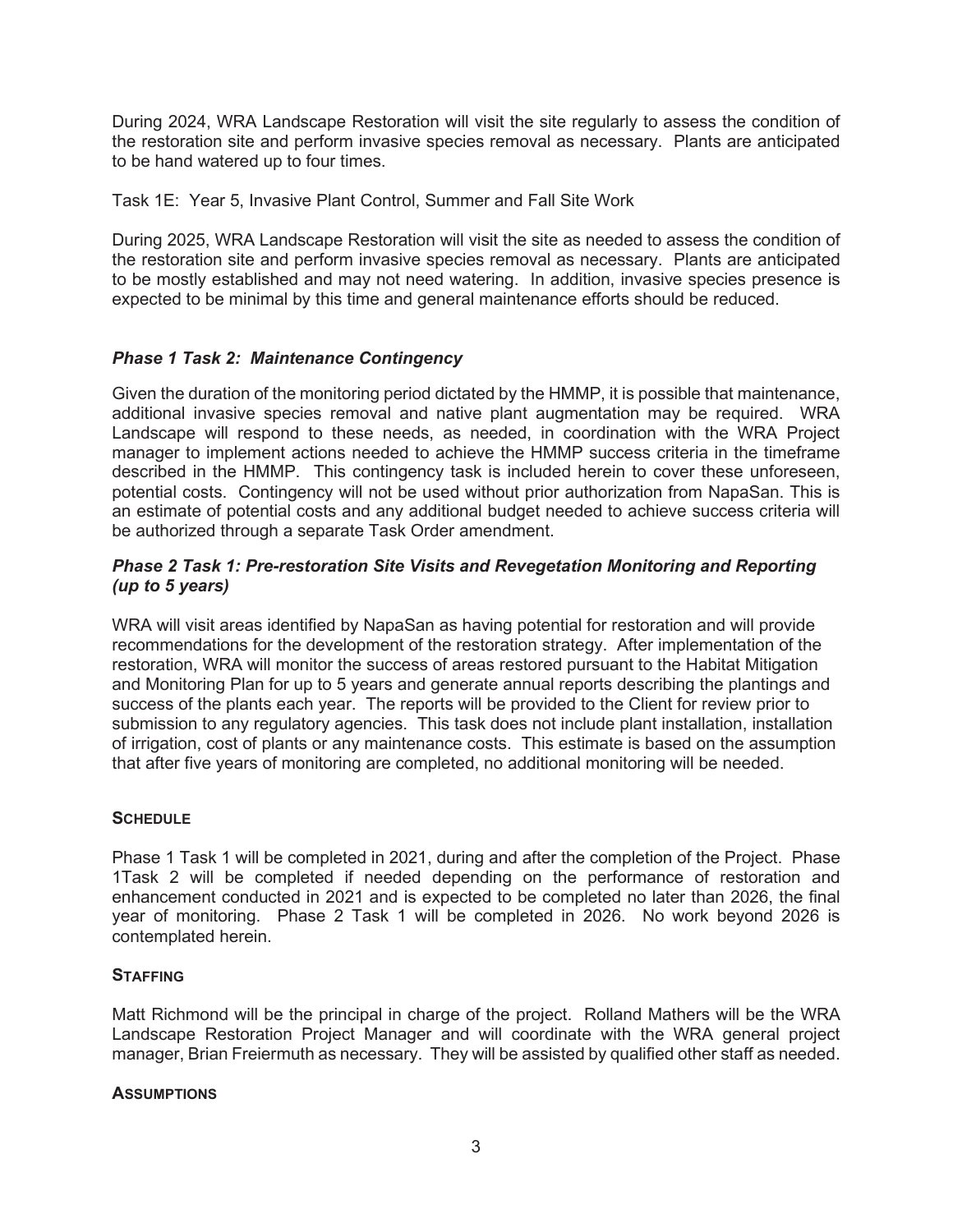During 2024, WRA Landscape Restoration will visit the site regularly to assess the condition of the restoration site and perform invasive species removal as necessary. Plants are anticipated to be hand watered up to four times.

Task 1E: Year 5, Invasive Plant Control, Summer and Fall Site Work

During 2025, WRA Landscape Restoration will visit the site as needed to assess the condition of the restoration site and perform invasive species removal as necessary. Plants are anticipated to be mostly established and may not need watering. In addition, invasive species presence is expected to be minimal by this time and general maintenance efforts should be reduced.

# *Phase 1 Task 2: Maintenance Contingency*

Given the duration of the monitoring period dictated by the HMMP, it is possible that maintenance, additional invasive species removal and native plant augmentation may be required. WRA Landscape will respond to these needs, as needed, in coordination with the WRA Project manager to implement actions needed to achieve the HMMP success criteria in the timeframe described in the HMMP. This contingency task is included herein to cover these unforeseen, potential costs. Contingency will not be used without prior authorization from NapaSan. This is an estimate of potential costs and any additional budget needed to achieve success criteria will be authorized through a separate Task Order amendment.

# *Phase 2 Task 1: Pre-restoration Site Visits and Revegetation Monitoring and Reporting (up to 5 years)*

WRA will visit areas identified by NapaSan as having potential for restoration and will provide recommendations for the development of the restoration strategy. After implementation of the restoration, WRA will monitor the success of areas restored pursuant to the Habitat Mitigation and Monitoring Plan for up to 5 years and generate annual reports describing the plantings and success of the plants each year. The reports will be provided to the Client for review prior to submission to any regulatory agencies. This task does not include plant installation, installation of irrigation, cost of plants or any maintenance costs. This estimate is based on the assumption that after five years of monitoring are completed, no additional monitoring will be needed.

# **SCHEDULE**

Phase 1 Task 1 will be completed in 2021, during and after the completion of the Project. Phase 1Task 2 will be completed if needed depending on the performance of restoration and enhancement conducted in 2021 and is expected to be completed no later than 2026, the final year of monitoring. Phase 2 Task 1 will be completed in 2026. No work beyond 2026 is contemplated herein.

#### **STAFFING**

Matt Richmond will be the principal in charge of the project. Rolland Mathers will be the WRA Landscape Restoration Project Manager and will coordinate with the WRA general project manager, Brian Freiermuth as necessary. They will be assisted by qualified other staff as needed.

#### **ASSUMPTIONS**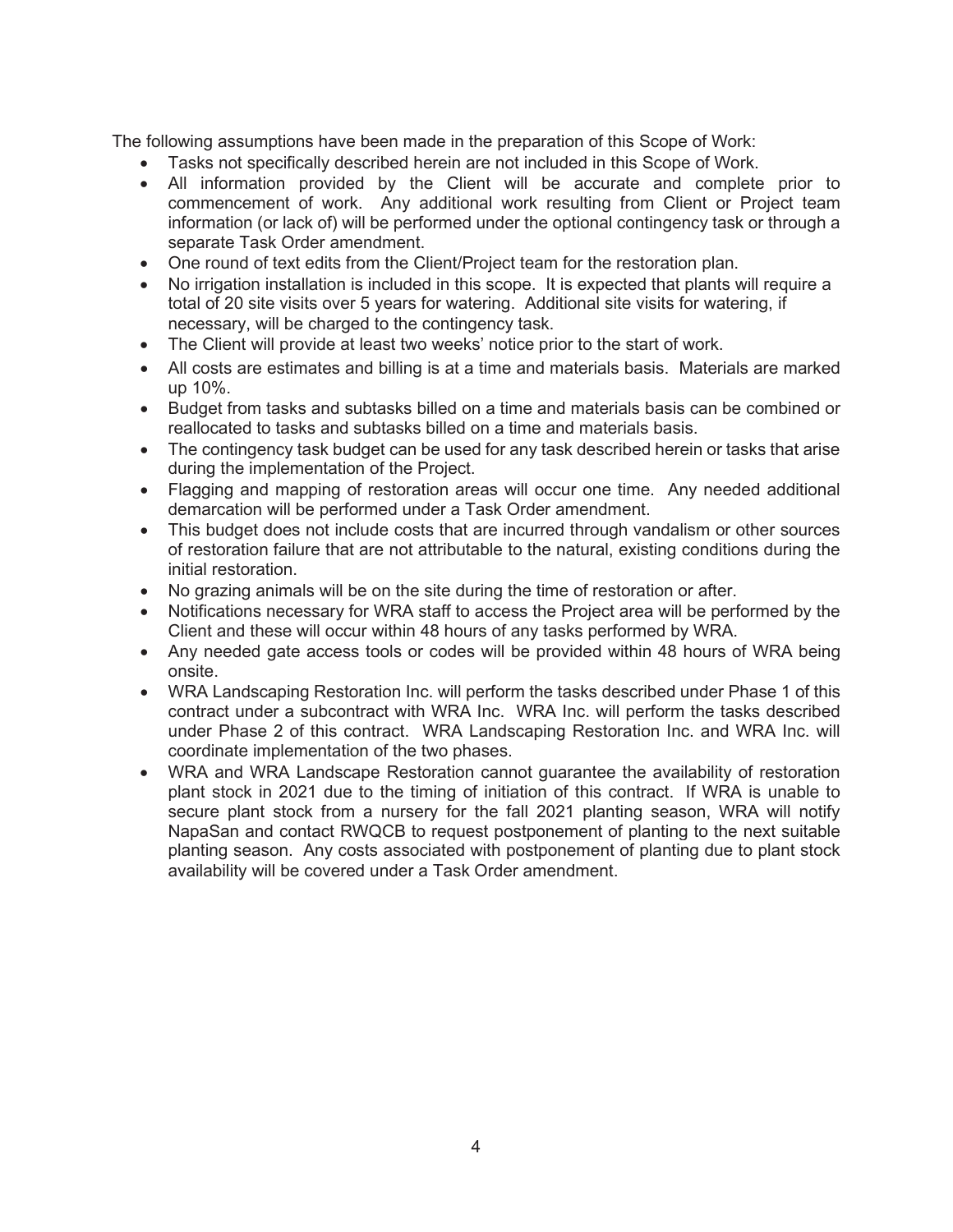The following assumptions have been made in the preparation of this Scope of Work:

- Tasks not specifically described herein are not included in this Scope of Work.
- All information provided by the Client will be accurate and complete prior to commencement of work. Any additional work resulting from Client or Project team information (or lack of) will be performed under the optional contingency task or through a separate Task Order amendment.
- One round of text edits from the Client/Project team for the restoration plan.
- No irrigation installation is included in this scope. It is expected that plants will require a total of 20 site visits over 5 years for watering. Additional site visits for watering, if necessary, will be charged to the contingency task.
- The Client will provide at least two weeks' notice prior to the start of work.
- All costs are estimates and billing is at a time and materials basis. Materials are marked up 10%.
- Budget from tasks and subtasks billed on a time and materials basis can be combined or reallocated to tasks and subtasks billed on a time and materials basis.
- The contingency task budget can be used for any task described herein or tasks that arise during the implementation of the Project.
- Flagging and mapping of restoration areas will occur one time. Any needed additional demarcation will be performed under a Task Order amendment.
- This budget does not include costs that are incurred through vandalism or other sources of restoration failure that are not attributable to the natural, existing conditions during the initial restoration.
- No grazing animals will be on the site during the time of restoration or after.
- Notifications necessary for WRA staff to access the Project area will be performed by the Client and these will occur within 48 hours of any tasks performed by WRA.
- Any needed gate access tools or codes will be provided within 48 hours of WRA being onsite.
- WRA Landscaping Restoration Inc. will perform the tasks described under Phase 1 of this contract under a subcontract with WRA Inc. WRA Inc. will perform the tasks described under Phase 2 of this contract. WRA Landscaping Restoration Inc. and WRA Inc. will coordinate implementation of the two phases.
- WRA and WRA Landscape Restoration cannot quarantee the availability of restoration plant stock in 2021 due to the timing of initiation of this contract. If WRA is unable to secure plant stock from a nursery for the fall 2021 planting season, WRA will notify NapaSan and contact RWQCB to request postponement of planting to the next suitable planting season. Any costs associated with postponement of planting due to plant stock availability will be covered under a Task Order amendment.